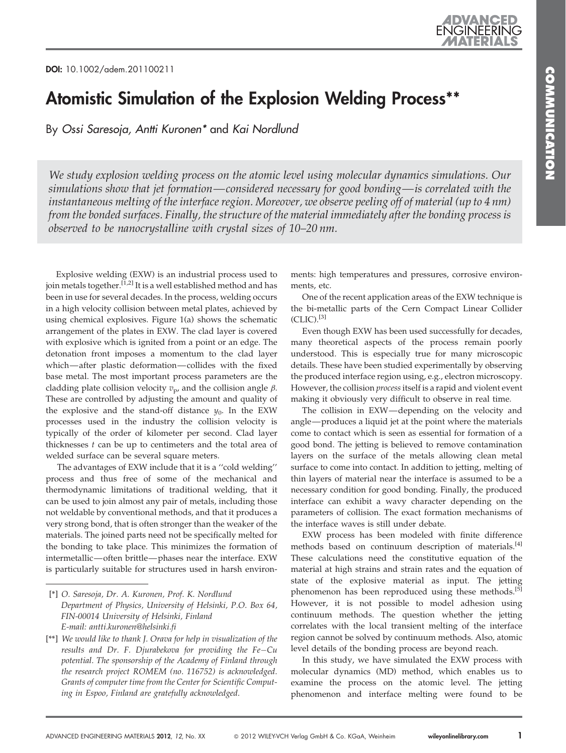## Atomistic Simulation of the Explosion Welding Process\*\*

By Ossi Saresoja, Antti Kuronen\* and Kai Nordlund

We study explosion welding process on the atomic level using molecular dynamics simulations. Our simulations show that jet formation—considered necessary for good bonding—is correlated with the instantaneous melting of the interface region. Moreover, we observe peeling off of material (up to 4 nm) from the bonded surfaces. Finally, the structure of the material immediately after the bonding process is observed to be nanocrystalline with crystal sizes of 10–20 nm.

Explosive welding (EXW) is an industrial process used to join metals together.<sup>[1,2]</sup> It is a well established method and has been in use for several decades. In the process, welding occurs in a high velocity collision between metal plates, achieved by using chemical explosives. Figure 1(a) shows the schematic arrangement of the plates in EXW. The clad layer is covered with explosive which is ignited from a point or an edge. The detonation front imposes a momentum to the clad layer which—after plastic deformation—collides with the fixed base metal. The most important process parameters are the cladding plate collision velocity  $v_p$ , and the collision angle  $\beta$ . These are controlled by adjusting the amount and quality of the explosive and the stand-off distance  $y_0$ . In the EXW processes used in the industry the collision velocity is typically of the order of kilometer per second. Clad layer thicknesses  $t$  can be up to centimeters and the total area of welded surface can be several square meters.

The advantages of EXW include that it is a ''cold welding'' process and thus free of some of the mechanical and thermodynamic limitations of traditional welding, that it can be used to join almost any pair of metals, including those not weldable by conventional methods, and that it produces a very strong bond, that is often stronger than the weaker of the materials. The joined parts need not be specifically melted for the bonding to take place. This minimizes the formation of intermetallic—often brittle—phases near the interface. EXW is particularly suitable for structures used in harsh environments: high temperatures and pressures, corrosive environments, etc.

One of the recent application areas of the EXW technique is the bi-metallic parts of the Cern Compact Linear Collider  $(CLIC).$ <sup>[3]</sup>

Even though EXW has been used successfully for decades, many theoretical aspects of the process remain poorly understood. This is especially true for many microscopic details. These have been studied experimentally by observing the produced interface region using, e.g., electron microscopy. However, the collision process itself is a rapid and violent event making it obviously very difficult to observe in real time.

The collision in EXW—depending on the velocity and angle—produces a liquid jet at the point where the materials come to contact which is seen as essential for formation of a good bond. The jetting is believed to remove contamination layers on the surface of the metals allowing clean metal surface to come into contact. In addition to jetting, melting of thin layers of material near the interface is assumed to be a necessary condition for good bonding. Finally, the produced interface can exhibit a wavy character depending on the parameters of collision. The exact formation mechanisms of the interface waves is still under debate.

EXW process has been modeled with finite difference methods based on continuum description of materials.<sup>[4]</sup> These calculations need the constitutive equation of the material at high strains and strain rates and the equation of state of the explosive material as input. The jetting phenomenon has been reproduced using these methods.<sup>[5]</sup> However, it is not possible to model adhesion using continuum methods. The question whether the jetting correlates with the local transient melting of the interface region cannot be solved by continuum methods. Also, atomic level details of the bonding process are beyond reach.

In this study, we have simulated the EXW process with molecular dynamics (MD) method, which enables us to examine the process on the atomic level. The jetting phenomenon and interface melting were found to be

<sup>[\*]</sup> O. Saresoja, Dr. A. Kuronen, Prof. K. Nordlund Department of Physics, University of Helsinki, P.O. Box 64, FIN-00014 University of Helsinki, Finland E-mail: antti.kuronen@helsinki.fi

<sup>[\*\*]</sup> We would like to thank J. Orava for help in visualization of the results and Dr. F. Djurabekova for providing the Fe-Cu potential. The sponsorship of the Academy of Finland through the research project ROMEM (no. 116752) is acknowledged. Grants of computer time from the Center for Scientific Computing in Espoo, Finland are gratefully acknowledged.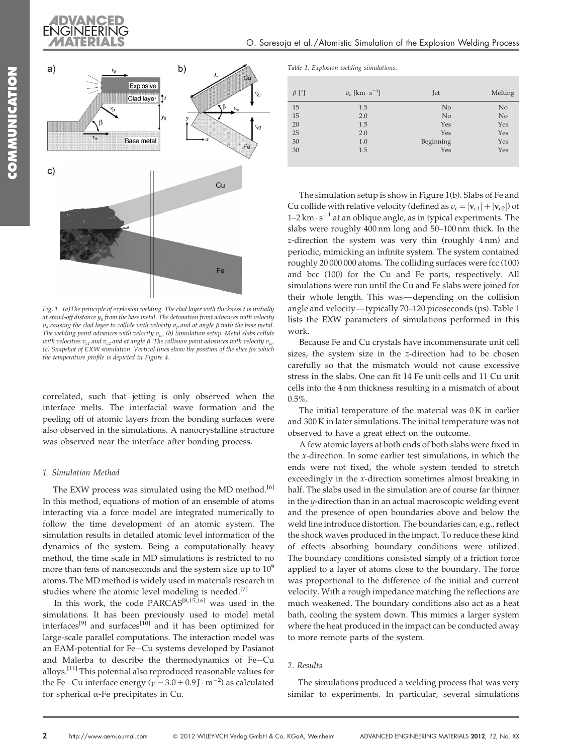



Fig. 1. (a)The principle of explosion welding. The clad layer with thickness t is initially at stand-off distance  $y_0$  from the base metal. The detonation front advances with velocity  $v_d$  causing the clad layer to collide with velocity  $v_p$  and at angle  $\beta$  with the base metal The welding point advances with velocity  $v_w$ . (b) Simulation setup. Metal slabs collide with velocities  $v_{c1}$  and  $v_{c2}$  and at angle  $\beta$ . The collision point advances with velocity  $v_w$ (c) Snapshot of EXW simulation. Vertical lines show the position of the slice for which the temperature profile is depicted in Figure 4.

correlated, such that jetting is only observed when the interface melts. The interfacial wave formation and the peeling off of atomic layers from the bonding surfaces were also observed in the simulations. A nanocrystalline structure was observed near the interface after bonding process.

## 1. Simulation Method

The EXW process was simulated using the MD method.<sup>[6]</sup> In this method, equations of motion of an ensemble of atoms interacting via a force model are integrated numerically to follow the time development of an atomic system. The simulation results in detailed atomic level information of the dynamics of the system. Being a computationally heavy method, the time scale in MD simulations is restricted to no more than tens of nanoseconds and the system size up to  $10<sup>9</sup>$ atoms. The MD method is widely used in materials research in studies where the atomic level modeling is needed.<sup>[7]</sup>

In this work, the code PARCAS<sup>[8,15,16]</sup> was used in the simulations. It has been previously used to model metal interfaces<sup>[9]</sup> and surfaces<sup>[10]</sup> and it has been optimized for large-scale parallel computations. The interaction model was an EAM-potential for Fe-Cu systems developed by Pasianot and Malerba to describe the thermodynamics of Fe-Cu alloys.[11] This potential also reproduced reasonable values for the Fe-Cu interface energy ( $\gamma = 3.0 \pm 0.9$  J $\cdot$  m<sup>-2</sup>) as calculated for spherical  $\alpha$ -Fe precipitates in Cu.

Table 1. Explosion welding simulations.

| $\beta$ [ $^{\circ}$ ] | $v_c$ [km $\cdot$ s <sup>-1</sup> ] | Jet            | Melting        |
|------------------------|-------------------------------------|----------------|----------------|
| 15                     | 1.5                                 | No             | N <sub>o</sub> |
| 15                     | 2.0                                 | N <sub>o</sub> | No             |
| 20                     | 1.5                                 | Yes            | Yes            |
| 25                     | 2.0                                 | Yes            | Yes            |
| 30                     | 1.0                                 | Beginning      | Yes            |
| 30                     | 1.5                                 | Yes            | Yes            |
|                        |                                     |                |                |

The simulation setup is show in Figure 1(b). Slabs of Fe and Cu collide with relative velocity (defined as  $v_c = |\mathbf{v}_{c1}| + |\mathbf{v}_{c2}|$ ) of 1–2 km $\cdot$  s<sup>-1</sup> at an oblique angle, as in typical experiments. The slabs were roughly 400 nm long and 50–100 nm thick. In the z-direction the system was very thin (roughly 4 nm) and periodic, mimicking an infinite system. The system contained roughly 20 000 000 atoms. The colliding surfaces were fcc (100) and bcc (100) for the Cu and Fe parts, respectively. All simulations were run until the Cu and Fe slabs were joined for their whole length. This was—depending on the collision angle and velocity—typically 70–120 picoseconds (ps). Table 1 lists the EXW parameters of simulations performed in this work.

Because Fe and Cu crystals have incommensurate unit cell sizes, the system size in the z-direction had to be chosen carefully so that the mismatch would not cause excessive stress in the slabs. One can fit 14 Fe unit cells and 11 Cu unit cells into the 4 nm thickness resulting in a mismatch of about 0.5%.

The initial temperature of the material was 0 K in earlier and 300 K in later simulations. The initial temperature was not observed to have a great effect on the outcome.

A few atomic layers at both ends of both slabs were fixed in the x-direction. In some earlier test simulations, in which the ends were not fixed, the whole system tended to stretch exceedingly in the x-direction sometimes almost breaking in half. The slabs used in the simulation are of course far thinner in the y-direction than in an actual macroscopic welding event and the presence of open boundaries above and below the weld line introduce distortion. The boundaries can, e.g., reflect the shock waves produced in the impact. To reduce these kind of effects absorbing boundary conditions were utilized. The boundary conditions consisted simply of a friction force applied to a layer of atoms close to the boundary. The force was proportional to the difference of the initial and current velocity. With a rough impedance matching the reflections are much weakened. The boundary conditions also act as a heat bath, cooling the system down. This mimics a larger system where the heat produced in the impact can be conducted away to more remote parts of the system.

## 2. Results

The simulations produced a welding process that was very similar to experiments. In particular, several simulations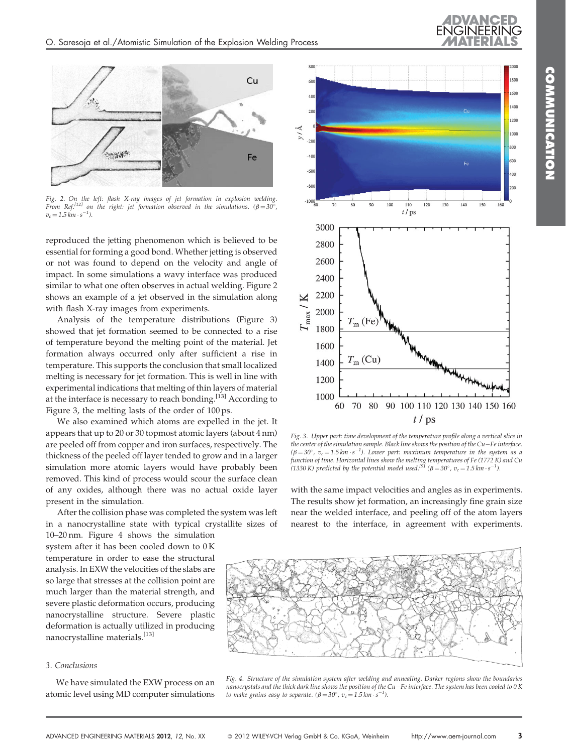

Fig. 2. On the left: flash X-ray images of jet formation in explosion welding. From Ref.<sup>[12]</sup> on the right: jet formation observed in the simulations. ( $\beta = 30^{\circ}$ ,  $v_c = 1.5 \, km \cdot s^{-1}$ ).

reproduced the jetting phenomenon which is believed to be essential for forming a good bond. Whether jetting is observed or not was found to depend on the velocity and angle of impact. In some simulations a wavy interface was produced similar to what one often observes in actual welding. Figure 2 shows an example of a jet observed in the simulation along with flash X-ray images from experiments.

Analysis of the temperature distributions (Figure 3) showed that jet formation seemed to be connected to a rise of temperature beyond the melting point of the material. Jet formation always occurred only after sufficient a rise in temperature. This supports the conclusion that small localized melting is necessary for jet formation. This is well in line with experimental indications that melting of thin layers of material at the interface is necessary to reach bonding.<sup>[13]</sup> According to Figure 3, the melting lasts of the order of 100 ps.

We also examined which atoms are expelled in the jet. It appears that up to 20 or 30 topmost atomic layers (about 4 nm) are peeled off from copper and iron surfaces, respectively. The thickness of the peeled off layer tended to grow and in a larger simulation more atomic layers would have probably been removed. This kind of process would scour the surface clean of any oxides, although there was no actual oxide layer present in the simulation.

After the collision phase was completed the system was left in a nanocrystalline state with typical crystallite sizes of

10–20 nm. Figure 4 shows the simulation system after it has been cooled down to 0 K temperature in order to ease the structural analysis. In EXW the velocities of the slabs are so large that stresses at the collision point are much larger than the material strength, and severe plastic deformation occurs, producing nanocrystalline structure. Severe plastic deformation is actually utilized in producing nanocrystalline materials.[13]

## 3. Conclusions

We have simulated the EXW process on an atomic level using MD computer simulations



Fig. 3. Upper part: time development of the temperature profile along a vertical slice in the center of the simulation sample. Black line shows the position of the Cu-Fe interface.  $(\beta = 30^{\circ}, v_c = 1.5 \text{ km} \cdot \text{s}^{-1})$ . Lower part: maximum temperature in the system as a function of time. Horizontal lines show the melting temperatures of Fe (1772 K) and Cu<br>(1330 K) predicted by the potential model used.<sup>[9]</sup> ( $\beta = 30^{\circ}$ ,  $v_c = 1.5$  km  $\cdot$  s<sup>-1</sup>).

with the same impact velocities and angles as in experiments. The results show jet formation, an increasingly fine grain size near the welded interface, and peeling off of the atom layers nearest to the interface, in agreement with experiments.



Fig. 4. Structure of the simulation system after welding and annealing. Darker regions show the boundaries nanocrystals and the thick dark line shows the position of the Cu-Fe interface. The system has been cooled to 0 K to make grains easy to separate.  $(\beta = 30^{\circ}, v_c = 1.5 \text{ km} \cdot \text{s}^{-1})$ .